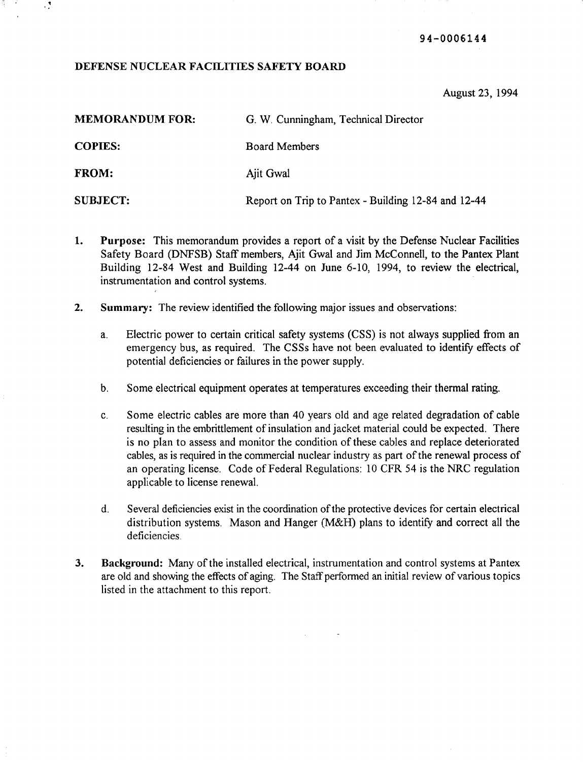94-0006144

# DEFENSE NUCLEAR FACILITIES SAFETY BOARD

 $\mathcal{L}$ 

August 23, 1994

| <b>MEMORANDUM FOR:</b> | G. W. Cunningham, Technical Director                |
|------------------------|-----------------------------------------------------|
| <b>COPIES:</b>         | <b>Board Members</b>                                |
| <b>FROM:</b>           | Ajit Gwal                                           |
| <b>SUBJECT:</b>        | Report on Trip to Pantex - Building 12-84 and 12-44 |

- 1. Purpose: This memorandum provides a report of a visit by the Defense Nuclear Facilities Safety Board (DNFSB) Staff members, Ajit Gwal and Jim McConnell, to the Pantex Plant Building 12-84 West and Building 12-44 on June 6-10, 1994, to review the electrical, instrumentation and control systems.
- 2. Summary: The review identified the following major issues and observations:
	- a. Electric power to certain critical safety systems (CSS) is not always supplied from an emergency bus, as required. The CSSs have not been evaluated to identify effects of potential deficiencies or failures in the power supply.
	- b. Some electrical equipment operates at temperatures exceeding their thermal rating.
	- c. Some electric cables are more than 40 years old and age related degradation of cable resulting in the embrittlement of insulation and jacket material could be expected. There is no plan to assess and monitor the condition of these cables and replace deteriorated cables, as is required in the commercial nuclear industry as part of the renewal process of an operating license. Code of Federal Regulations: 10 CFR 54 is the NRC regulation applicable to license renewal.
	- d. Several deficiencies exist in the coordination ofthe protective devices for certain electrical distribution systems. Mason and Hanger (M&H) plans to identify and correct all the deficiencies.
- 3. Background: Many ofthe installed electrical, instrumentation and control systems at Pantex are old and showing the effects of aging. The Staff performed an initial review of various topics listed in the attachment to this report.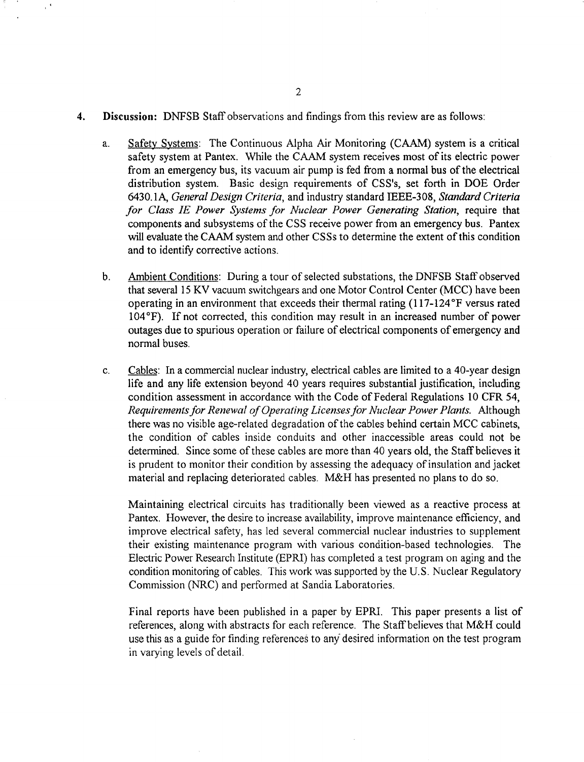#### 4. Discussion: DNFSB Staff observations and findings from this review are as follows:

- a. Safety Systems: The Continuous Alpha Air Monitoring (CAAM) system is a critical safety system at Pantex. While the CAAM system receives most of its electric power from an emergency bus, its vacuum air pump is fed from a normal bus of the electrical distribution system. Basic design requirements of CSS's, set forth in DOE Order 6430.1A, *General Design Criteria*, and industry standard IEEE-308, *Standard Criteria for Class IE Power Systems for Nuclear Power Generating Station,* require that components and subsystems of the CSS receive power from an emergency bus. Pantex will evaluate the CAAM system and other CSSs to determine the extent of this condition and to identify corrective actions.
- b. Ambient Conditions: During a tour of selected substations, the DNFSB Staff observed that several 15 KV vacuum switchgears and one Motor Control Center (MCC) have been operating in an environment that exceeds their thermal rating  $(117-124)$ <sup>o</sup>F versus rated 104°F). If not corrected, this condition may result in an increased number of power outages due to spurious operation or failure of electrical components of emergency and normal buses.
- c. Cables: In a commercial nuclear industry, electrical cables are limited to a 40-year design life and any life extension beyond 40 years requires substantial justification, including condition assessment in accordance with the Code of Federal Regulations 10 CFR 54, *Requirementsfor Renewal ofOperating Licensesfor Nuclear Power Plants.* Although there was no visible age-related degradation of the cables behind certain MCC cabinets, the condition of cables inside conduits and other inaccessible areas could not be determined. Since some of these cables are more than 40 years old, the Staff believes it is prudent to monitor their condition by assessing the adequacy of insulation and jacket material and replacing deteriorated cables. M&H has presented no plans to do so.

Maintaining electrical circuits has traditionally been viewed as a reactive process at Pantex. However, the desire to increase availability, improve maintenance efficiency, and improve electrical safety, has led several commercial nuclear industries to supplement their existing maintenance program with various condition-based technologies. The Electric Power Research Institute (EPRI) has completed a test program on aging and the condition monitoring of cables. This work was supported by the U.S. Nuclear Regulatory Commission (NRC) and performed at Sandia Laboratories.

Final reports have been published in a paper by EPRl. This paper presents a list of references, along with abstracts for each reference. The Staff believes that M&H could use this as a guide for finding references to any desired information on the test program in varying levels of detail.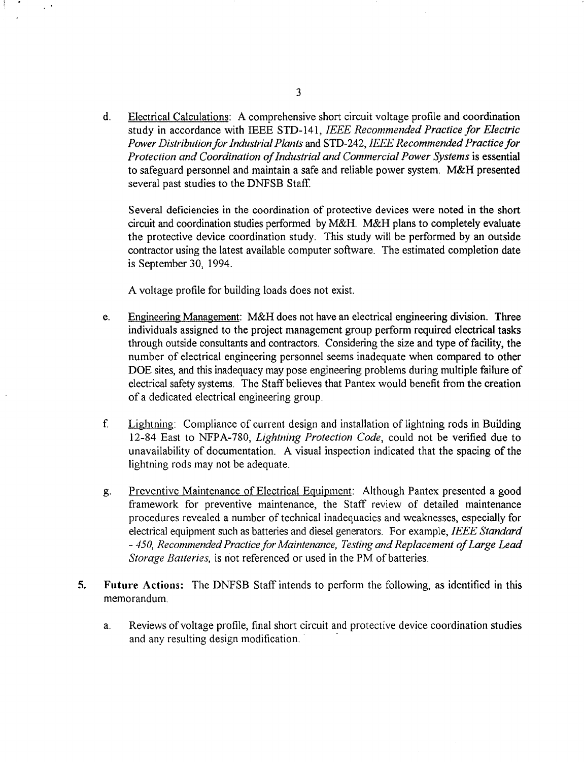d. Electrical Calculations: A comprehensive short circuit voltage profile and coordination study in accordance with IEEE STD-141, *IEEE Recommended Practice for Electric Power Distribution for Industrial Plants* and STD-242, *IEEE Recommended Practice for Protection and Coordination ofIndustrial and Commercial Power Systems* is essential to safeguard personnel and maintain a safe and reliable power system. M&H presented several past studies to the DNFSB Staff.

Several deficiencies in the coordination of protective devices were noted in the short circuit and coordination studies performed by M&H. M&H plans to completely evaluate the protective device coordination study. This study will be performed by an outside contractor using the latest available computer software. The estimated completion date is September 30, 1994.

A voltage profile for building loads does not exist.

- e. Engineering Management: M&H does not have an electrical engineering division. Three individuals assigned to the project management group perform required electrical tasks through outside consultants and contractors. Considering the size and type of facility, the number of electrical engineering personnel seems inadequate when compared to other DOE sites, and this inadequacy may pose engineering problems during multiple failure of electrical safety systems. The Staff believes that Pantex would benefit from the creation of a dedicated electrical engineering group.
- f. Lightning: Compliance of current design and installation of lightning rods in Building 12-84 East to NFPA-780, *Lightning Protection Code,* could not be verified due to unavailability of documentation. A visual inspection indicated that the spacing of the lightning rods may not be adequate.
- g. Preventive Maintenance of Electrical Equipment: Although Pantex presented a good framework for preventive maintenance, the Staff review of detailed maintenance procedures revealed a number of technical inadequacies and weaknesses, especially for electrical equipment such as batteries and diesel generators. For example, *IEEE Standard - 450, RecommendedPractice for Maintenance, Testing and Replacement ofLarge Lead Storage Batteries,* is not referenced or used in the PM of batteries.
- 5. **Future** Actions: The DNFSB Staff intends to perform the following, as identified in this memorandum.
	- a. Reviews of voltage profile, final short circuit and protective device coordination studies and any resulting design modification..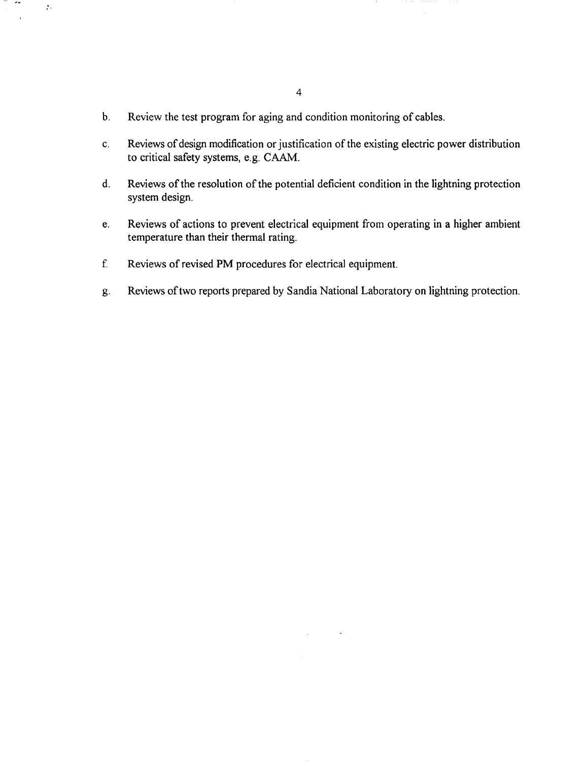b. Review the test program for aging and condition monitoring of cables.

 $\sim$   $\sim$ 

 $\frac{1}{2}$  ,

- c. Reviews of design modification or justification of the existing electric power distribution to critical safety systems, e.g. CAAM.
- d. Reviews of the resolution of the potential deficient condition in the lightning protection system design.
- e. Reviews of actions to prevent electrical equipment from operating in a higher ambient temperature than their thermal rating.
- f. Reviews of revised **PM** procedures for electrical equipment.
- g. Reviews oftwo reports prepared by Sandia National Laboratory on lightning protection.